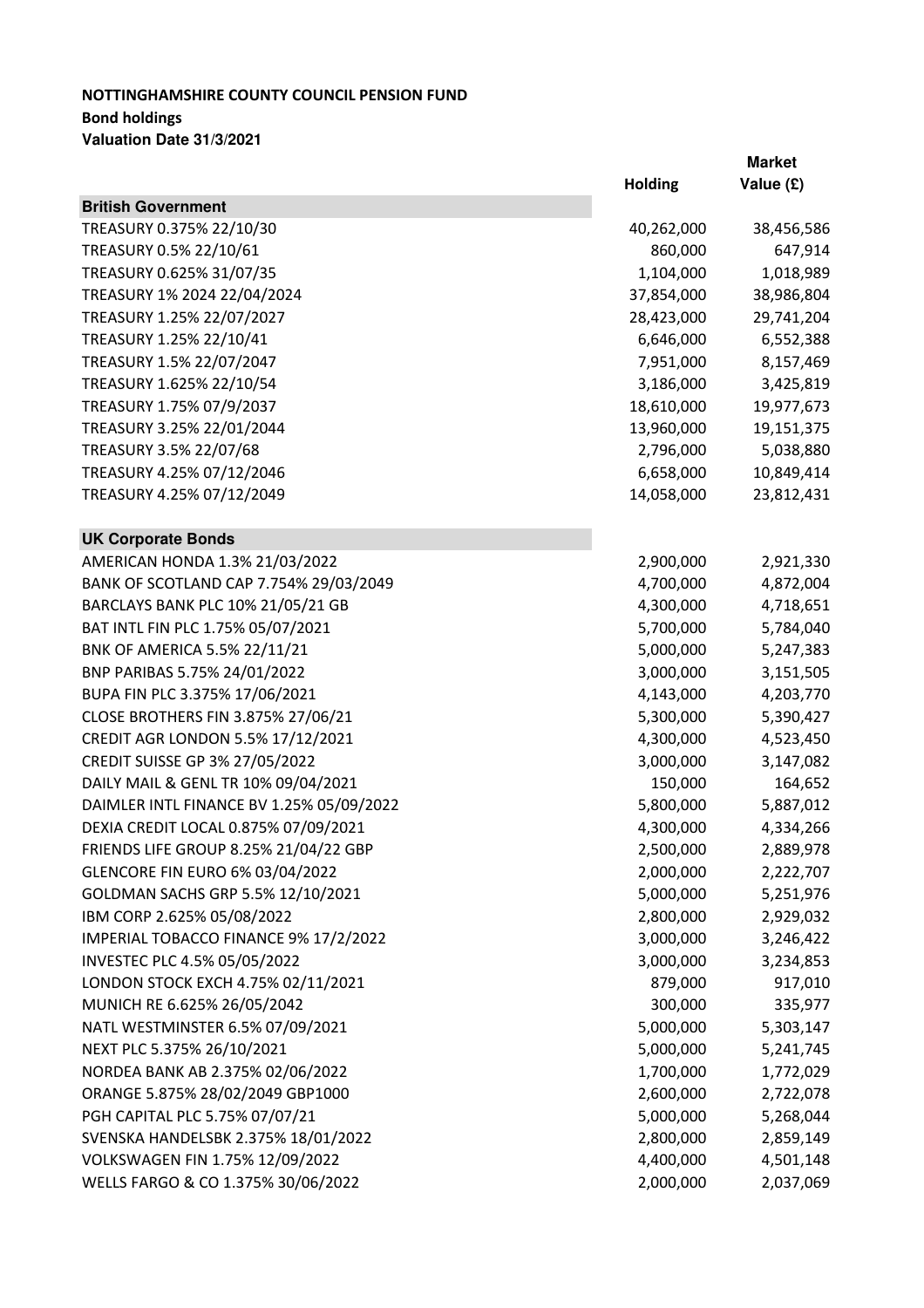## **NOTTINGHAMSHIRE COUNTY COUNCIL PENSION FUND Bond holdings Valuation Date 31/3/2021**

|                                          |                | <b>Market</b> |
|------------------------------------------|----------------|---------------|
|                                          | <b>Holding</b> | Value (£)     |
| <b>British Government</b>                |                |               |
| TREASURY 0.375% 22/10/30                 | 40,262,000     | 38,456,586    |
| TREASURY 0.5% 22/10/61                   | 860,000        | 647,914       |
| TREASURY 0.625% 31/07/35                 | 1,104,000      | 1,018,989     |
| TREASURY 1% 2024 22/04/2024              | 37,854,000     | 38,986,804    |
| TREASURY 1.25% 22/07/2027                | 28,423,000     | 29,741,204    |
| TREASURY 1.25% 22/10/41                  | 6,646,000      | 6,552,388     |
| TREASURY 1.5% 22/07/2047                 | 7,951,000      | 8,157,469     |
| TREASURY 1.625% 22/10/54                 | 3,186,000      | 3,425,819     |
| TREASURY 1.75% 07/9/2037                 | 18,610,000     | 19,977,673    |
| TREASURY 3.25% 22/01/2044                | 13,960,000     | 19,151,375    |
| TREASURY 3.5% 22/07/68                   | 2,796,000      | 5,038,880     |
| TREASURY 4.25% 07/12/2046                | 6,658,000      | 10,849,414    |
| TREASURY 4.25% 07/12/2049                | 14,058,000     | 23,812,431    |
| <b>UK Corporate Bonds</b>                |                |               |
| AMERICAN HONDA 1.3% 21/03/2022           | 2,900,000      | 2,921,330     |
| BANK OF SCOTLAND CAP 7.754% 29/03/2049   | 4,700,000      | 4,872,004     |
| BARCLAYS BANK PLC 10% 21/05/21 GB        | 4,300,000      | 4,718,651     |
| BAT INTL FIN PLC 1.75% 05/07/2021        | 5,700,000      | 5,784,040     |
| BNK OF AMERICA 5.5% 22/11/21             | 5,000,000      | 5,247,383     |
| BNP PARIBAS 5.75% 24/01/2022             | 3,000,000      | 3,151,505     |
| BUPA FIN PLC 3.375% 17/06/2021           | 4,143,000      | 4,203,770     |
| CLOSE BROTHERS FIN 3.875% 27/06/21       | 5,300,000      | 5,390,427     |
| CREDIT AGR LONDON 5.5% 17/12/2021        | 4,300,000      | 4,523,450     |
| CREDIT SUISSE GP 3% 27/05/2022           | 3,000,000      | 3,147,082     |
| DAILY MAIL & GENL TR 10% 09/04/2021      | 150,000        | 164,652       |
| DAIMLER INTL FINANCE BV 1.25% 05/09/2022 | 5,800,000      | 5,887,012     |
| DEXIA CREDIT LOCAL 0.875% 07/09/2021     | 4,300,000      | 4,334,266     |
| FRIENDS LIFE GROUP 8.25% 21/04/22 GBP    | 2,500,000      | 2,889,978     |
| GLENCORE FIN EURO 6% 03/04/2022          | 2,000,000      | 2,222,707     |
| GOLDMAN SACHS GRP 5.5% 12/10/2021        | 5,000,000      | 5,251,976     |
| IBM CORP 2.625% 05/08/2022               | 2,800,000      | 2,929,032     |
| IMPERIAL TOBACCO FINANCE 9% 17/2/2022    | 3,000,000      | 3,246,422     |
| INVESTEC PLC 4.5% 05/05/2022             | 3,000,000      | 3,234,853     |
| LONDON STOCK EXCH 4.75% 02/11/2021       | 879,000        | 917,010       |
| MUNICH RE 6.625% 26/05/2042              | 300,000        | 335,977       |
| NATL WESTMINSTER 6.5% 07/09/2021         | 5,000,000      | 5,303,147     |
| NEXT PLC 5.375% 26/10/2021               | 5,000,000      | 5,241,745     |
| NORDEA BANK AB 2.375% 02/06/2022         | 1,700,000      | 1,772,029     |
| ORANGE 5.875% 28/02/2049 GBP1000         | 2,600,000      | 2,722,078     |
| PGH CAPITAL PLC 5.75% 07/07/21           | 5,000,000      | 5,268,044     |
| SVENSKA HANDELSBK 2.375% 18/01/2022      | 2,800,000      | 2,859,149     |
| VOLKSWAGEN FIN 1.75% 12/09/2022          | 4,400,000      | 4,501,148     |
| WELLS FARGO & CO 1.375% 30/06/2022       | 2,000,000      | 2,037,069     |